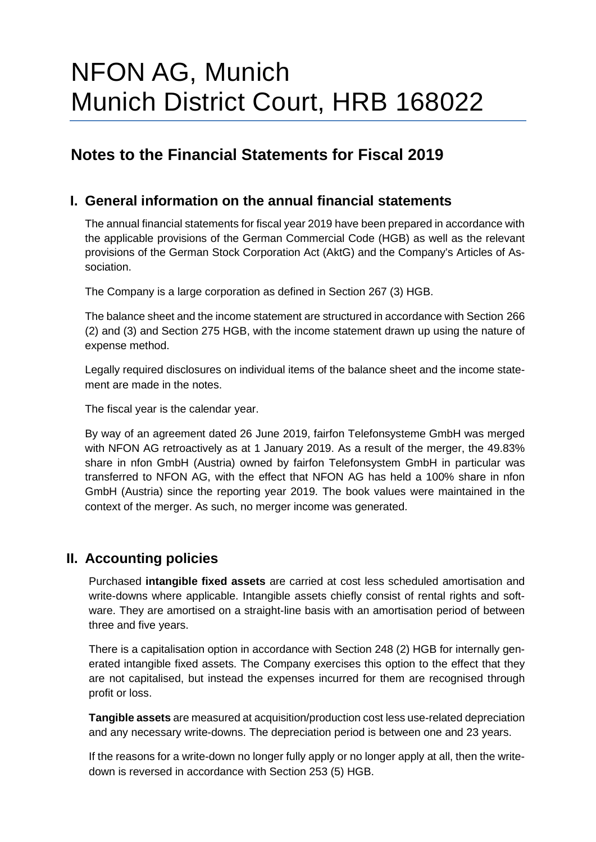# NFON AG, Munich Munich District Court, HRB 168022

## **Notes to the Financial Statements for Fiscal 2019**

### **I. General information on the annual financial statements**

The annual financial statements for fiscal year 2019 have been prepared in accordance with the applicable provisions of the German Commercial Code (HGB) as well as the relevant provisions of the German Stock Corporation Act (AktG) and the Company's Articles of Association.

The Company is a large corporation as defined in Section 267 (3) HGB.

The balance sheet and the income statement are structured in accordance with Section 266 (2) and (3) and Section 275 HGB, with the income statement drawn up using the nature of expense method.

Legally required disclosures on individual items of the balance sheet and the income statement are made in the notes.

The fiscal year is the calendar year.

By way of an agreement dated 26 June 2019, fairfon Telefonsysteme GmbH was merged with NFON AG retroactively as at 1 January 2019. As a result of the merger, the 49.83% share in nfon GmbH (Austria) owned by fairfon Telefonsystem GmbH in particular was transferred to NFON AG, with the effect that NFON AG has held a 100% share in nfon GmbH (Austria) since the reporting year 2019. The book values were maintained in the context of the merger. As such, no merger income was generated.

### **II. Accounting policies**

Purchased **intangible fixed assets** are carried at cost less scheduled amortisation and write-downs where applicable. Intangible assets chiefly consist of rental rights and software. They are amortised on a straight-line basis with an amortisation period of between three and five years.

There is a capitalisation option in accordance with Section 248 (2) HGB for internally generated intangible fixed assets. The Company exercises this option to the effect that they are not capitalised, but instead the expenses incurred for them are recognised through profit or loss.

**Tangible assets** are measured at acquisition/production cost less use-related depreciation and any necessary write-downs. The depreciation period is between one and 23 years.

If the reasons for a write-down no longer fully apply or no longer apply at all, then the writedown is reversed in accordance with Section 253 (5) HGB.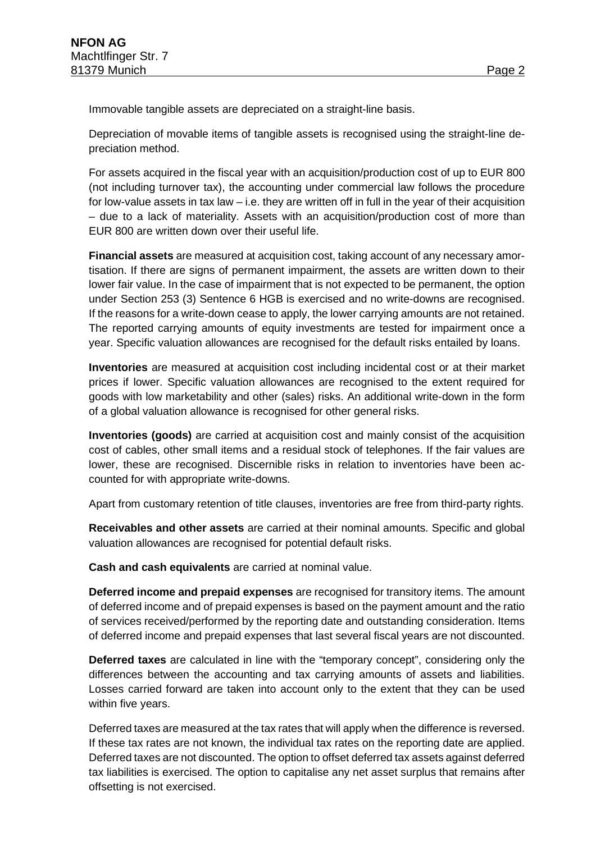Immovable tangible assets are depreciated on a straight-line basis.

Depreciation of movable items of tangible assets is recognised using the straight-line depreciation method.

For assets acquired in the fiscal year with an acquisition/production cost of up to EUR 800 (not including turnover tax), the accounting under commercial law follows the procedure for low-value assets in tax law  $-$  i.e. they are written off in full in the year of their acquisition – due to a lack of materiality. Assets with an acquisition/production cost of more than EUR 800 are written down over their useful life.

**Financial assets** are measured at acquisition cost, taking account of any necessary amortisation. If there are signs of permanent impairment, the assets are written down to their lower fair value. In the case of impairment that is not expected to be permanent, the option under Section 253 (3) Sentence 6 HGB is exercised and no write-downs are recognised. If the reasons for a write-down cease to apply, the lower carrying amounts are not retained. The reported carrying amounts of equity investments are tested for impairment once a year. Specific valuation allowances are recognised for the default risks entailed by loans.

**Inventories** are measured at acquisition cost including incidental cost or at their market prices if lower. Specific valuation allowances are recognised to the extent required for goods with low marketability and other (sales) risks. An additional write-down in the form of a global valuation allowance is recognised for other general risks.

**Inventories (goods)** are carried at acquisition cost and mainly consist of the acquisition cost of cables, other small items and a residual stock of telephones. If the fair values are lower, these are recognised. Discernible risks in relation to inventories have been accounted for with appropriate write-downs.

Apart from customary retention of title clauses, inventories are free from third-party rights.

**Receivables and other assets** are carried at their nominal amounts. Specific and global valuation allowances are recognised for potential default risks.

**Cash and cash equivalents** are carried at nominal value.

**Deferred income and prepaid expenses** are recognised for transitory items. The amount of deferred income and of prepaid expenses is based on the payment amount and the ratio of services received/performed by the reporting date and outstanding consideration. Items of deferred income and prepaid expenses that last several fiscal years are not discounted.

**Deferred taxes** are calculated in line with the "temporary concept", considering only the differences between the accounting and tax carrying amounts of assets and liabilities. Losses carried forward are taken into account only to the extent that they can be used within five years.

Deferred taxes are measured at the tax rates that will apply when the difference is reversed. If these tax rates are not known, the individual tax rates on the reporting date are applied. Deferred taxes are not discounted. The option to offset deferred tax assets against deferred tax liabilities is exercised. The option to capitalise any net asset surplus that remains after offsetting is not exercised.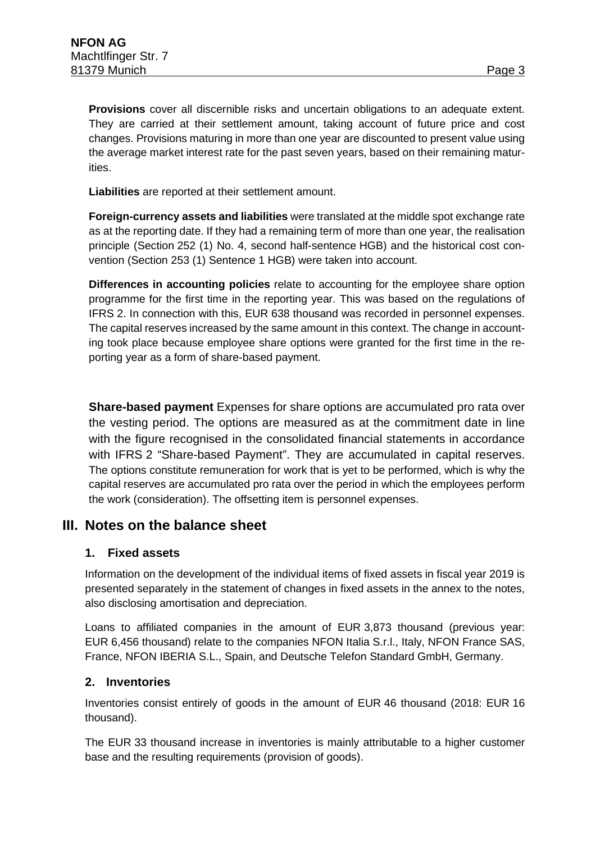**Provisions** cover all discernible risks and uncertain obligations to an adequate extent. They are carried at their settlement amount, taking account of future price and cost changes. Provisions maturing in more than one year are discounted to present value using the average market interest rate for the past seven years, based on their remaining maturities.

**Liabilities** are reported at their settlement amount.

**Foreign-currency assets and liabilities** were translated at the middle spot exchange rate as at the reporting date. If they had a remaining term of more than one year, the realisation principle (Section 252 (1) No. 4, second half-sentence HGB) and the historical cost convention (Section 253 (1) Sentence 1 HGB) were taken into account.

**Differences in accounting policies** relate to accounting for the employee share option programme for the first time in the reporting year. This was based on the regulations of IFRS 2. In connection with this, EUR 638 thousand was recorded in personnel expenses. The capital reserves increased by the same amount in this context. The change in accounting took place because employee share options were granted for the first time in the reporting year as a form of share-based payment.

**Share-based payment** Expenses for share options are accumulated pro rata over the vesting period. The options are measured as at the commitment date in line with the figure recognised in the consolidated financial statements in accordance with IFRS 2 "Share-based Payment". They are accumulated in capital reserves. The options constitute remuneration for work that is yet to be performed, which is why the capital reserves are accumulated pro rata over the period in which the employees perform the work (consideration). The offsetting item is personnel expenses.

### **III. Notes on the balance sheet**

#### **1. Fixed assets**

Information on the development of the individual items of fixed assets in fiscal year 2019 is presented separately in the statement of changes in fixed assets in the annex to the notes, also disclosing amortisation and depreciation.

Loans to affiliated companies in the amount of EUR 3,873 thousand (previous year: EUR 6,456 thousand) relate to the companies NFON Italia S.r.l., Italy, NFON France SAS, France, NFON IBERIA S.L., Spain, and Deutsche Telefon Standard GmbH, Germany.

#### **2. Inventories**

Inventories consist entirely of goods in the amount of EUR 46 thousand (2018: EUR 16 thousand).

The EUR 33 thousand increase in inventories is mainly attributable to a higher customer base and the resulting requirements (provision of goods).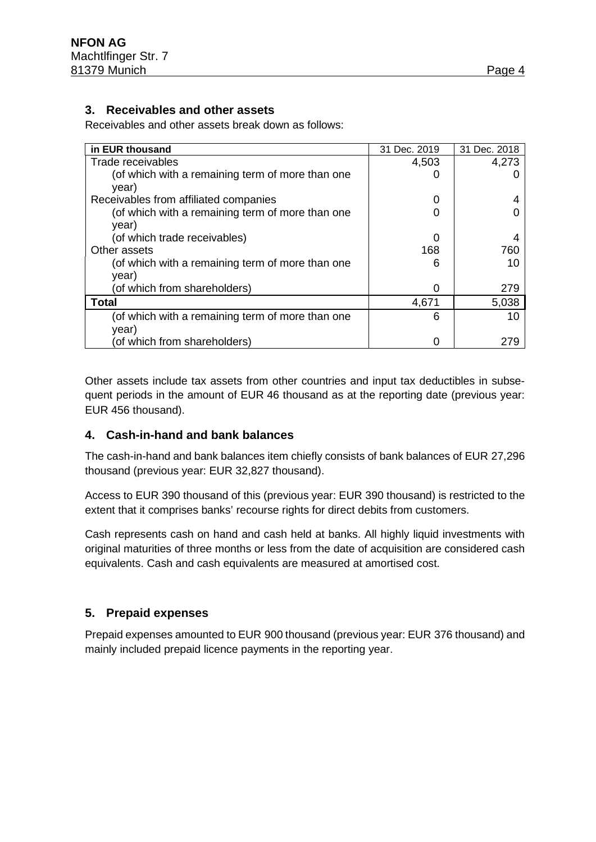#### **3. Receivables and other assets**

Receivables and other assets break down as follows:

| in EUR thousand                                           | 31 Dec. 2019 | 31 Dec. 2018 |
|-----------------------------------------------------------|--------------|--------------|
| Trade receivables                                         | 4,503        | 4,273        |
| (of which with a remaining term of more than one<br>year) |              |              |
| Receivables from affiliated companies                     | O            |              |
| (of which with a remaining term of more than one<br>year) |              |              |
| (of which trade receivables)                              | 0            |              |
| Other assets                                              | 168          | 760          |
| (of which with a remaining term of more than one<br>year) | 6            | 10           |
| (of which from shareholders)                              | O            | 279          |
| Total                                                     | 4,671        | 5,038        |
| (of which with a remaining term of more than one<br>year) | 6            | 10           |
| (of which from shareholders)                              |              | 279          |

Other assets include tax assets from other countries and input tax deductibles in subsequent periods in the amount of EUR 46 thousand as at the reporting date (previous year: EUR 456 thousand).

#### **4. Cash-in-hand and bank balances**

The cash-in-hand and bank balances item chiefly consists of bank balances of EUR 27,296 thousand (previous year: EUR 32,827 thousand).

Access to EUR 390 thousand of this (previous year: EUR 390 thousand) is restricted to the extent that it comprises banks' recourse rights for direct debits from customers.

Cash represents cash on hand and cash held at banks. All highly liquid investments with original maturities of three months or less from the date of acquisition are considered cash equivalents. Cash and cash equivalents are measured at amortised cost.

### **5. Prepaid expenses**

Prepaid expenses amounted to EUR 900 thousand (previous year: EUR 376 thousand) and mainly included prepaid licence payments in the reporting year.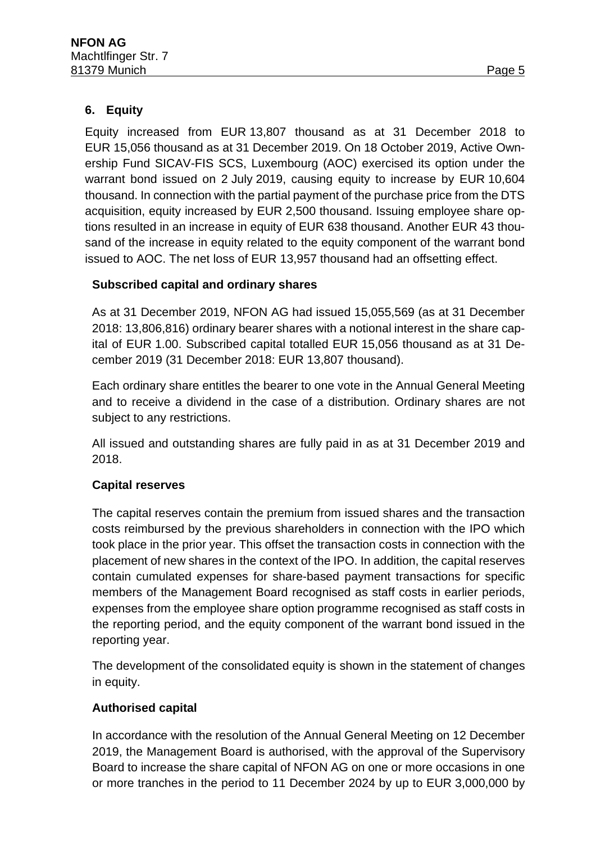### **6. Equity**

Equity increased from EUR 13,807 thousand as at 31 December 2018 to EUR 15,056 thousand as at 31 December 2019. On 18 October 2019, Active Ownership Fund SICAV-FIS SCS, Luxembourg (AOC) exercised its option under the warrant bond issued on 2 July 2019, causing equity to increase by EUR 10,604 thousand. In connection with the partial payment of the purchase price from the DTS acquisition, equity increased by EUR 2,500 thousand. Issuing employee share options resulted in an increase in equity of EUR 638 thousand. Another EUR 43 thousand of the increase in equity related to the equity component of the warrant bond issued to AOC. The net loss of EUR 13,957 thousand had an offsetting effect.

### **Subscribed capital and ordinary shares**

As at 31 December 2019, NFON AG had issued 15,055,569 (as at 31 December 2018: 13,806,816) ordinary bearer shares with a notional interest in the share capital of EUR 1.00. Subscribed capital totalled EUR 15,056 thousand as at 31 December 2019 (31 December 2018: EUR 13,807 thousand).

Each ordinary share entitles the bearer to one vote in the Annual General Meeting and to receive a dividend in the case of a distribution. Ordinary shares are not subject to any restrictions.

All issued and outstanding shares are fully paid in as at 31 December 2019 and 2018.

### **Capital reserves**

The capital reserves contain the premium from issued shares and the transaction costs reimbursed by the previous shareholders in connection with the IPO which took place in the prior year. This offset the transaction costs in connection with the placement of new shares in the context of the IPO. In addition, the capital reserves contain cumulated expenses for share-based payment transactions for specific members of the Management Board recognised as staff costs in earlier periods, expenses from the employee share option programme recognised as staff costs in the reporting period, and the equity component of the warrant bond issued in the reporting year.

The development of the consolidated equity is shown in the statement of changes in equity.

### **Authorised capital**

In accordance with the resolution of the Annual General Meeting on 12 December 2019, the Management Board is authorised, with the approval of the Supervisory Board to increase the share capital of NFON AG on one or more occasions in one or more tranches in the period to 11 December 2024 by up to EUR 3,000,000 by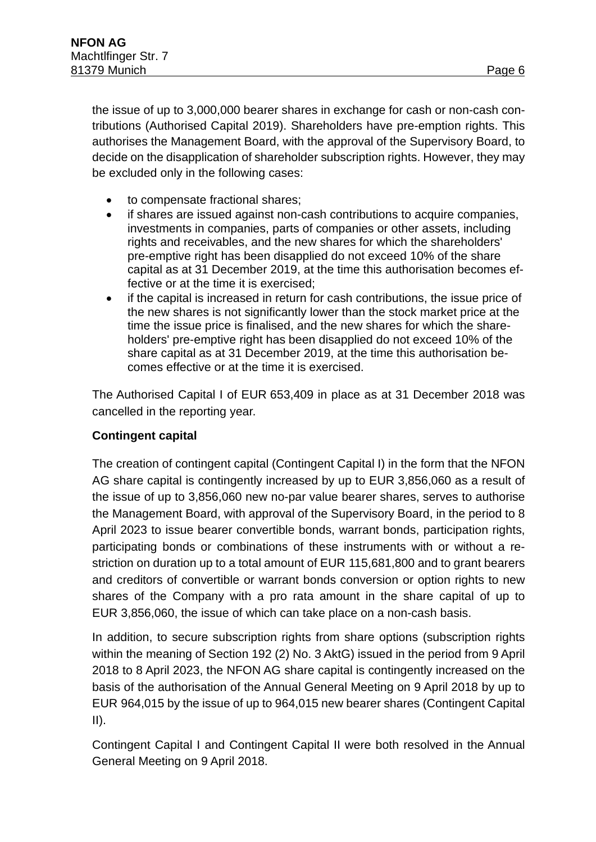tributions (Authorised Capital 2019). Shareholders have pre-emption rights. This authorises the Management Board, with the approval of the Supervisory Board, to decide on the disapplication of shareholder subscription rights. However, they may be excluded only in the following cases:

- to compensate fractional shares;
- if shares are issued against non-cash contributions to acquire companies, investments in companies, parts of companies or other assets, including rights and receivables, and the new shares for which the shareholders' pre-emptive right has been disapplied do not exceed 10% of the share capital as at 31 December 2019, at the time this authorisation becomes effective or at the time it is exercised;
- if the capital is increased in return for cash contributions, the issue price of the new shares is not significantly lower than the stock market price at the time the issue price is finalised, and the new shares for which the shareholders' pre-emptive right has been disapplied do not exceed 10% of the share capital as at 31 December 2019, at the time this authorisation becomes effective or at the time it is exercised.

The Authorised Capital I of EUR 653,409 in place as at 31 December 2018 was cancelled in the reporting year.

### **Contingent capital**

The creation of contingent capital (Contingent Capital I) in the form that the NFON AG share capital is contingently increased by up to EUR 3,856,060 as a result of the issue of up to 3,856,060 new no-par value bearer shares, serves to authorise the Management Board, with approval of the Supervisory Board, in the period to 8 April 2023 to issue bearer convertible bonds, warrant bonds, participation rights, participating bonds or combinations of these instruments with or without a restriction on duration up to a total amount of EUR 115,681,800 and to grant bearers and creditors of convertible or warrant bonds conversion or option rights to new shares of the Company with a pro rata amount in the share capital of up to EUR 3,856,060, the issue of which can take place on a non-cash basis.

In addition, to secure subscription rights from share options (subscription rights within the meaning of Section 192 (2) No. 3 AktG) issued in the period from 9 April 2018 to 8 April 2023, the NFON AG share capital is contingently increased on the basis of the authorisation of the Annual General Meeting on 9 April 2018 by up to EUR 964,015 by the issue of up to 964,015 new bearer shares (Contingent Capital  $II$ ).

Contingent Capital I and Contingent Capital II were both resolved in the Annual General Meeting on 9 April 2018.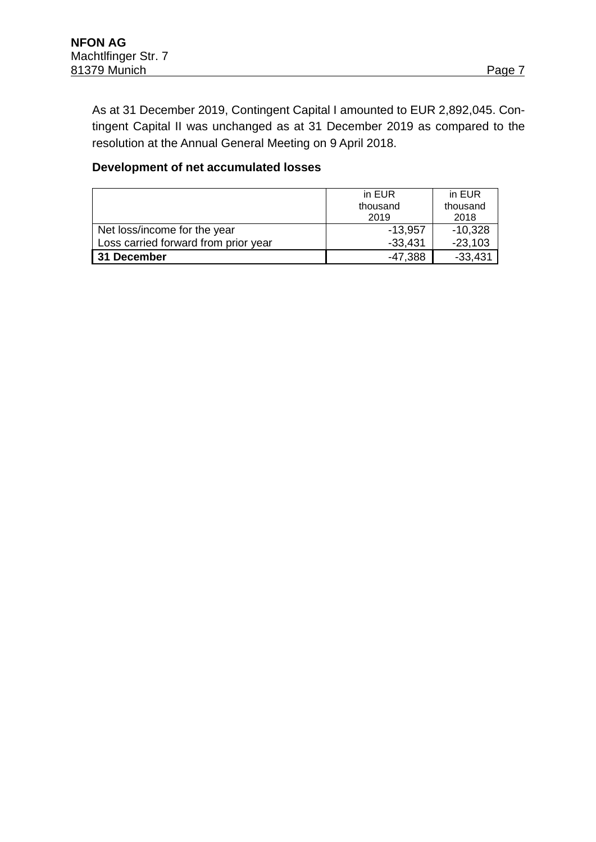As at 31 December 2019, Contingent Capital I amounted to EUR 2,892,045. Contingent Capital II was unchanged as at 31 December 2019 as compared to the resolution at the Annual General Meeting on 9 April 2018.

#### **Development of net accumulated losses**

|                                      | in EUR    | in EUR    |  |
|--------------------------------------|-----------|-----------|--|
|                                      | thousand  | thousand  |  |
|                                      | 2019      | 2018      |  |
| Net loss/income for the year         | $-13,957$ | $-10,328$ |  |
| Loss carried forward from prior year | $-33,431$ | $-23,103$ |  |
| 31 December                          | $-47,388$ | $-33,431$ |  |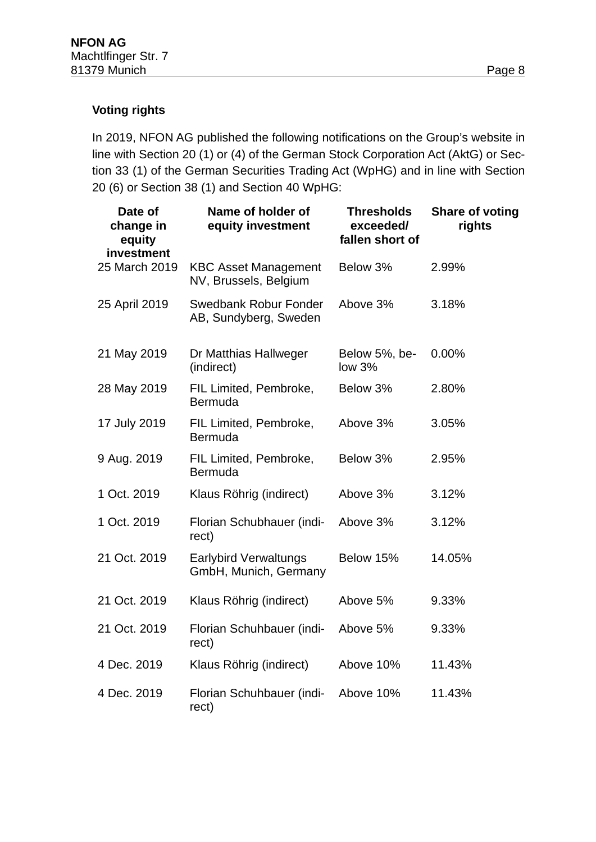### **Voting rights**

In 2019, NFON AG published the following notifications on the Group's website in line with Section 20 (1) or (4) of the German Stock Corporation Act (AktG) or Section 33 (1) of the German Securities Trading Act (WpHG) and in line with Section 20 (6) or Section 38 (1) and Section 40 WpHG:

| Date of<br>change in<br>equity<br>investment | Name of holder of<br>equity investment                | <b>Thresholds</b><br>exceeded/<br>fallen short of | <b>Share of voting</b><br>rights |
|----------------------------------------------|-------------------------------------------------------|---------------------------------------------------|----------------------------------|
| 25 March 2019                                | <b>KBC Asset Management</b><br>NV, Brussels, Belgium  | Below 3%                                          | 2.99%                            |
| 25 April 2019                                | <b>Swedbank Robur Fonder</b><br>AB, Sundyberg, Sweden | Above 3%                                          | 3.18%                            |
| 21 May 2019                                  | Dr Matthias Hallweger<br>(indirect)                   | Below 5%, be-<br>low <sub>3%</sub>                | 0.00%                            |
| 28 May 2019                                  | FIL Limited, Pembroke,<br>Bermuda                     | Below 3%                                          | 2.80%                            |
| 17 July 2019                                 | FIL Limited, Pembroke,<br>Bermuda                     | Above 3%                                          | 3.05%                            |
| 9 Aug. 2019                                  | FIL Limited, Pembroke,<br><b>Bermuda</b>              | Below 3%                                          | 2.95%                            |
| 1 Oct. 2019                                  | Klaus Röhrig (indirect)                               | Above 3%                                          | 3.12%                            |
| 1 Oct. 2019                                  | Florian Schubhauer (indi-<br>rect)                    | Above 3%                                          | 3.12%                            |
| 21 Oct. 2019                                 | <b>Earlybird Verwaltungs</b><br>GmbH, Munich, Germany | Below 15%                                         | 14.05%                           |
| 21 Oct. 2019                                 | Klaus Röhrig (indirect)                               | Above 5%                                          | 9.33%                            |
| 21 Oct. 2019                                 | Florian Schuhbauer (indi-<br>rect)                    | Above 5%                                          | 9.33%                            |
| 4 Dec. 2019                                  | Klaus Röhrig (indirect)                               | Above 10%                                         | 11.43%                           |
| 4 Dec. 2019                                  | Florian Schuhbauer (indi-<br>rect)                    | Above 10%                                         | 11.43%                           |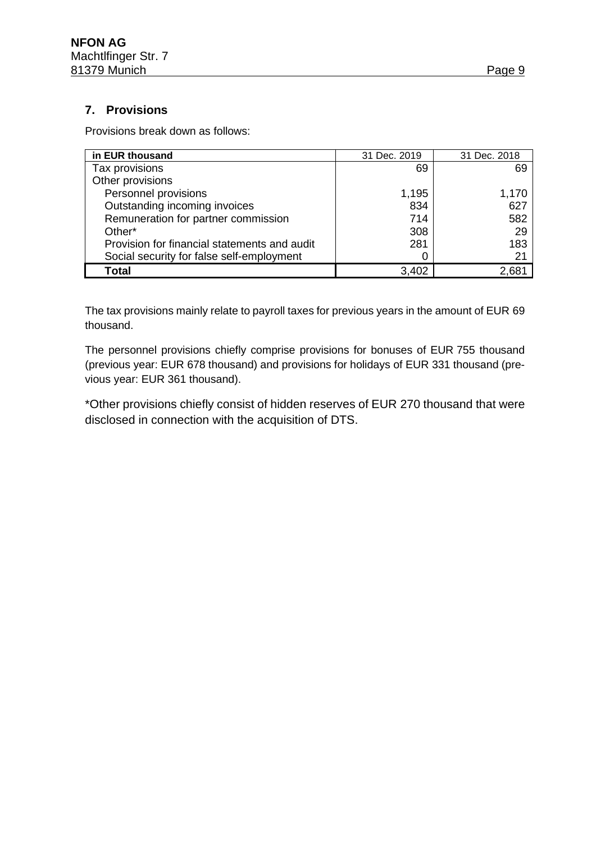### **7. Provisions**

Provisions break down as follows:

| in EUR thousand                              | 31 Dec. 2019 | 31 Dec. 2018 |
|----------------------------------------------|--------------|--------------|
| Tax provisions                               | 69           | 69           |
| Other provisions                             |              |              |
| Personnel provisions                         | 1,195        | 1,170        |
| Outstanding incoming invoices                | 834          | 627          |
| Remuneration for partner commission          | 714          | 582          |
| Other*                                       | 308          | 29           |
| Provision for financial statements and audit | 281          | 183          |
| Social security for false self-employment    |              | 21           |
| <b>Total</b>                                 | 3,402        | 2,68'        |

The tax provisions mainly relate to payroll taxes for previous years in the amount of EUR 69 thousand.

The personnel provisions chiefly comprise provisions for bonuses of EUR 755 thousand (previous year: EUR 678 thousand) and provisions for holidays of EUR 331 thousand (previous year: EUR 361 thousand).

\*Other provisions chiefly consist of hidden reserves of EUR 270 thousand that were disclosed in connection with the acquisition of DTS.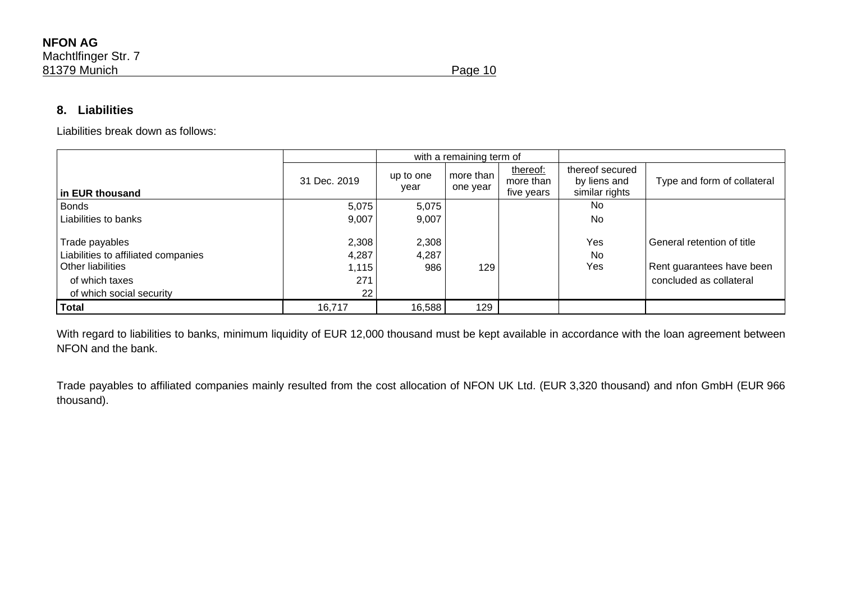### **8. Liabilities**

Liabilities break down as follows:

|                                                                                                                          |                                      | with a remaining term of |                       |                                     |                                                   |                                                                                    |
|--------------------------------------------------------------------------------------------------------------------------|--------------------------------------|--------------------------|-----------------------|-------------------------------------|---------------------------------------------------|------------------------------------------------------------------------------------|
| in EUR thousand                                                                                                          | 31 Dec. 2019                         | up to one<br>year        | more than<br>one year | thereof:<br>more than<br>five years | thereof secured<br>by liens and<br>similar rights | Type and form of collateral                                                        |
| <b>Bonds</b>                                                                                                             | 5,075                                | 5,075                    |                       |                                     | No                                                |                                                                                    |
| Liabilities to banks                                                                                                     | 9,007                                | 9,007                    |                       |                                     | No                                                |                                                                                    |
| Trade payables<br>Liabilities to affiliated companies<br>Other liabilities<br>of which taxes<br>of which social security | 2,308<br>4,287<br>1,115<br>271<br>22 | 2,308<br>4,287<br>986    | 129                   |                                     | Yes<br>No<br>Yes                                  | General retention of title<br>Rent guarantees have been<br>concluded as collateral |
| Total                                                                                                                    | 16,717                               | 16,588                   | 129                   |                                     |                                                   |                                                                                    |

With regard to liabilities to banks, minimum liquidity of EUR 12,000 thousand must be kept available in accordance with the loan agreement between NFON and the bank.

Trade payables to affiliated companies mainly resulted from the cost allocation of NFON UK Ltd. (EUR 3,320 thousand) and nfon GmbH (EUR 966 thousand).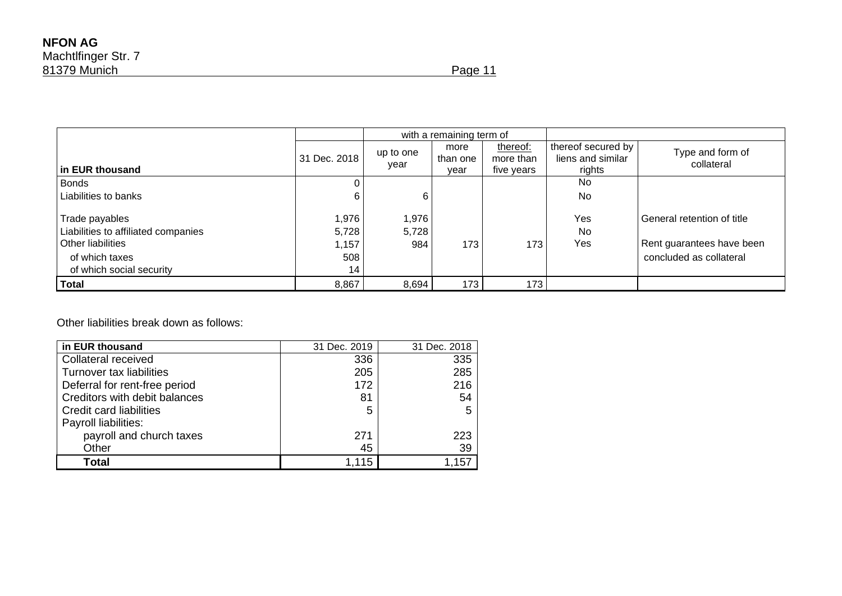|                                                                                                                          |                                      | with a remaining term of |                          |                                     |                                                   |                                                                                    |
|--------------------------------------------------------------------------------------------------------------------------|--------------------------------------|--------------------------|--------------------------|-------------------------------------|---------------------------------------------------|------------------------------------------------------------------------------------|
| in EUR thousand                                                                                                          | 31 Dec. 2018                         | up to one<br>year        | more<br>than one<br>vear | thereof:<br>more than<br>five years | thereof secured by<br>liens and similar<br>rights | Type and form of<br>collateral                                                     |
| Bonds                                                                                                                    |                                      |                          |                          |                                     | N <sub>0</sub>                                    |                                                                                    |
| Liabilities to banks                                                                                                     | 6                                    | 6                        |                          |                                     | No                                                |                                                                                    |
| Trade payables<br>Liabilities to affiliated companies<br>Other liabilities<br>of which taxes<br>of which social security | 1,976<br>5,728<br>1,157<br>508<br>14 | 1,976<br>5,728<br>984    | 173                      | 173                                 | Yes<br>No<br>Yes                                  | General retention of title<br>Rent guarantees have been<br>concluded as collateral |
| <b>Total</b>                                                                                                             | 8,867                                | 8,694                    | 173                      | 173                                 |                                                   |                                                                                    |

Other liabilities break down as follows:

| in EUR thousand               | 31 Dec. 2019 | 31 Dec. 2018 |
|-------------------------------|--------------|--------------|
| Collateral received           | 336          | 335          |
| Turnover tax liabilities      | 205          | 285          |
| Deferral for rent-free period | 172          | 216          |
| Creditors with debit balances | 81           | 54           |
| Credit card liabilities       | 5            | 5            |
| Payroll liabilities:          |              |              |
| payroll and church taxes      | 271          | 223          |
| Other                         | 45           | 39           |
| <b>Total</b>                  | 1,115        | 1,157        |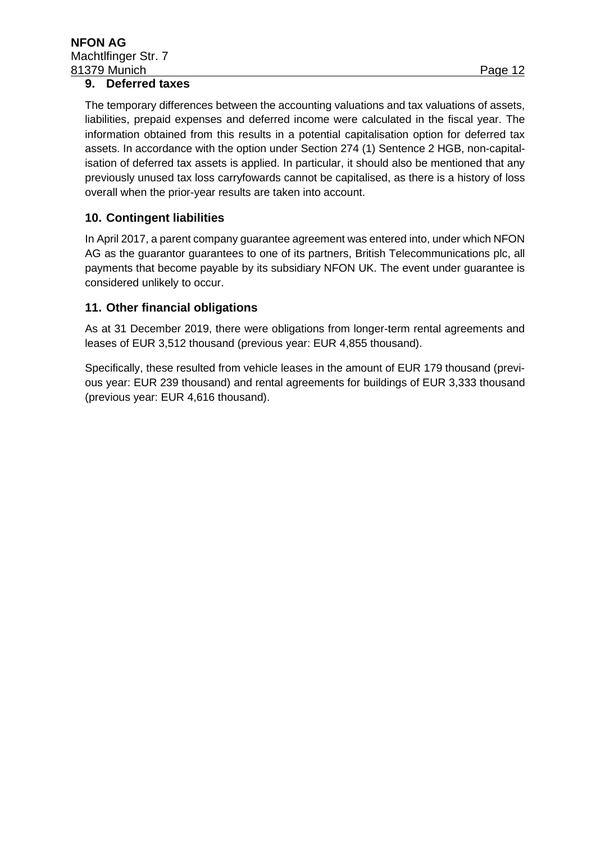#### **9. Deferred taxes**

The temporary differences between the accounting valuations and tax valuations of assets, liabilities, prepaid expenses and deferred income were calculated in the fiscal year. The information obtained from this results in a potential capitalisation option for deferred tax assets. In accordance with the option under Section 274 (1) Sentence 2 HGB, non-capitalisation of deferred tax assets is applied. In particular, it should also be mentioned that any previously unused tax loss carryfowards cannot be capitalised, as there is a history of loss overall when the prior-year results are taken into account.

#### **10. Contingent liabilities**

In April 2017, a parent company guarantee agreement was entered into, under which NFON AG as the guarantor guarantees to one of its partners, British Telecommunications plc, all payments that become payable by its subsidiary NFON UK. The event under guarantee is considered unlikely to occur.

#### **11. Other financial obligations**

As at 31 December 2019, there were obligations from longer-term rental agreements and leases of EUR 3,512 thousand (previous year: EUR 4,855 thousand).

Specifically, these resulted from vehicle leases in the amount of EUR 179 thousand (previous year: EUR 239 thousand) and rental agreements for buildings of EUR 3,333 thousand (previous year: EUR 4,616 thousand).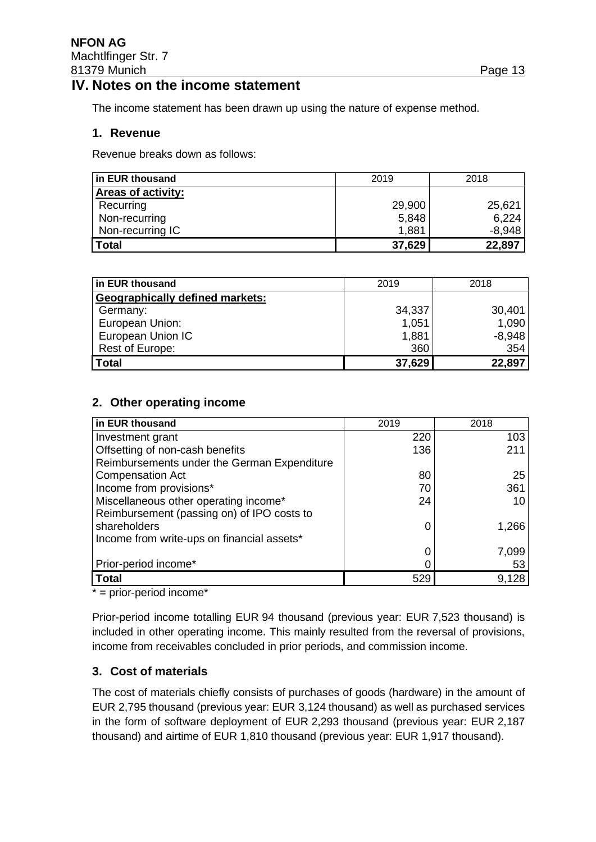### **IV. Notes on the income statement**

The income statement has been drawn up using the nature of expense method.

#### **1. Revenue**

Revenue breaks down as follows:

| in EUR thousand           | 2019   | 2018     |
|---------------------------|--------|----------|
| <b>Areas of activity:</b> |        |          |
| Recurring                 | 29,900 | 25,621   |
| Non-recurring             | 5,848  | 6,224    |
| Non-recurring IC          | 1,881  | $-8,948$ |
| Total                     | 37,629 | 22,897   |

| in EUR thousand                        | 2019   | 2018     |
|----------------------------------------|--------|----------|
| <b>Geographically defined markets:</b> |        |          |
| Germany:                               | 34,337 | 30,401   |
| European Union:                        | 1,051  | 1,090    |
| European Union IC                      | 1,881  | $-8,948$ |
| Rest of Europe:                        | 360    | 354      |
| <b>Total</b>                           | 37,629 | 22,897   |

#### **2. Other operating income**

| in EUR thousand                             | 2019 | 2018  |
|---------------------------------------------|------|-------|
| Investment grant                            | 220  | 103   |
| Offsetting of non-cash benefits             | 136  | 211   |
| Reimbursements under the German Expenditure |      |       |
| <b>Compensation Act</b>                     | 80   | 25    |
| Income from provisions*                     | 70   | 361   |
| Miscellaneous other operating income*       | 24   | 10    |
| Reimbursement (passing on) of IPO costs to  |      |       |
| shareholders                                |      | 1,266 |
| Income from write-ups on financial assets*  |      |       |
|                                             |      | 7,099 |
| Prior-period income*                        |      | 53    |
| <b>Total</b>                                | 529  | 9,128 |

\* = prior-period income\*

Prior-period income totalling EUR 94 thousand (previous year: EUR 7,523 thousand) is included in other operating income. This mainly resulted from the reversal of provisions, income from receivables concluded in prior periods, and commission income.

#### **3. Cost of materials**

The cost of materials chiefly consists of purchases of goods (hardware) in the amount of EUR 2,795 thousand (previous year: EUR 3,124 thousand) as well as purchased services in the form of software deployment of EUR 2,293 thousand (previous year: EUR 2,187 thousand) and airtime of EUR 1,810 thousand (previous year: EUR 1,917 thousand).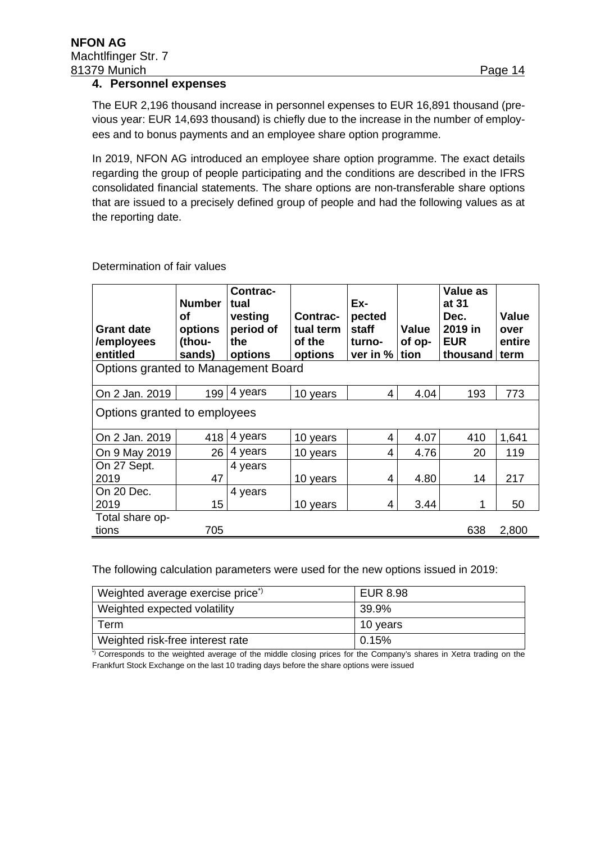#### **4. Personnel expenses**

The EUR 2,196 thousand increase in personnel expenses to EUR 16,891 thousand (previous year: EUR 14,693 thousand) is chiefly due to the increase in the number of employees and to bonus payments and an employee share option programme.

In 2019, NFON AG introduced an employee share option programme. The exact details regarding the group of people participating and the conditions are described in the IFRS consolidated financial statements. The share options are non-transferable share options that are issued to a precisely defined group of people and had the following values as at the reporting date.

| <b>Grant date</b><br>/employees<br>entitled | <b>Number</b><br>οf<br>options<br>(thou-<br>sands) | Contrac-<br>tual<br>vesting<br>period of<br>the<br>options | Contrac-<br>tual term<br>of the<br>options | Ex-<br>pected<br><b>staff</b><br>turno-<br>ver in % | Value<br>of op-<br>tion | Value as<br>at 31<br>Dec.<br>2019 in<br><b>EUR</b><br>thousand | Value<br>over<br>entire<br>term |
|---------------------------------------------|----------------------------------------------------|------------------------------------------------------------|--------------------------------------------|-----------------------------------------------------|-------------------------|----------------------------------------------------------------|---------------------------------|
| Options granted to Management Board         |                                                    |                                                            |                                            |                                                     |                         |                                                                |                                 |
| On 2 Jan. 2019                              | 199                                                | 4 years                                                    | 10 years                                   | 4                                                   | 4.04                    | 193                                                            | 773                             |
| Options granted to employees                |                                                    |                                                            |                                            |                                                     |                         |                                                                |                                 |
| On 2 Jan. 2019                              | 418                                                | 4 years                                                    | 10 years                                   | 4                                                   | 4.07                    | 410                                                            | 1,641                           |
| On 9 May 2019                               | 26 <sup>1</sup>                                    | 4 years                                                    | 10 years                                   | 4                                                   | 4.76                    | 20                                                             | 119                             |
| On 27 Sept.<br>2019                         | 47                                                 | 4 years                                                    | 10 years                                   | 4                                                   | 4.80                    | 14                                                             | 217                             |
| On 20 Dec.                                  |                                                    | 4 years                                                    |                                            |                                                     |                         |                                                                |                                 |
| 2019                                        | 15                                                 |                                                            | 10 years                                   | 4                                                   | 3.44                    | 1                                                              | 50                              |
| Total share op-<br>tions                    | 705                                                |                                                            |                                            |                                                     |                         | 638                                                            | 2,800                           |

#### Determination of fair values

The following calculation parameters were used for the new options issued in 2019:

| Weighted average exercise price <sup>*)</sup> | EUR 8.98 |
|-----------------------------------------------|----------|
| Weighted expected volatility                  | 39.9%    |
| Term                                          | 10 years |
| Weighted risk-free interest rate              | 0.15%    |

\*) Corresponds to the weighted average of the middle closing prices for the Company's shares in Xetra trading on the Frankfurt Stock Exchange on the last 10 trading days before the share options were issued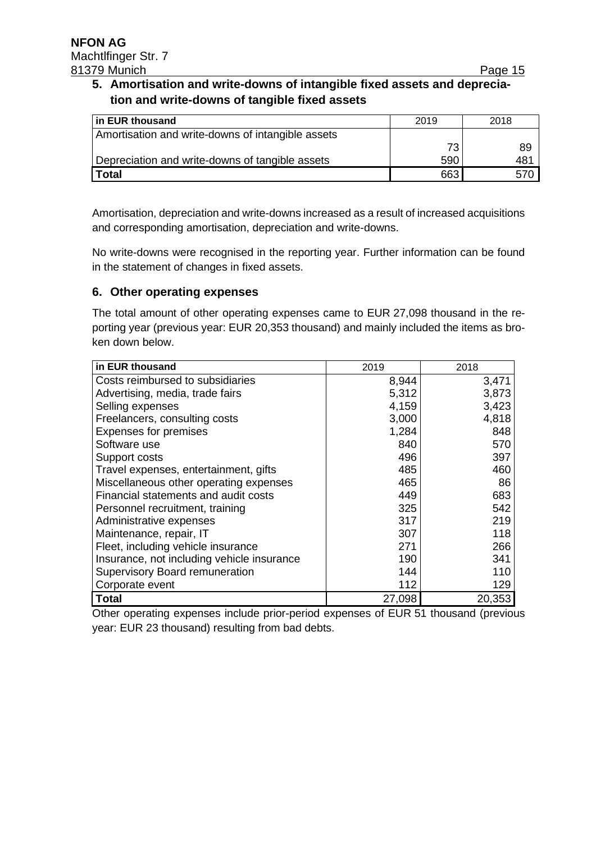### **5. Amortisation and write-downs of intangible fixed assets and depreciation and write-downs of tangible fixed assets**

| In EUR thousand                                   | 2019 | 2018 |
|---------------------------------------------------|------|------|
| Amortisation and write-downs of intangible assets |      |      |
|                                                   | 73   | 89   |
| Depreciation and write-downs of tangible assets   | 590  | 481  |
| <b>Total</b>                                      | 663  |      |

Amortisation, depreciation and write-downs increased as a result of increased acquisitions and corresponding amortisation, depreciation and write-downs.

No write-downs were recognised in the reporting year. Further information can be found in the statement of changes in fixed assets.

#### **6. Other operating expenses**

The total amount of other operating expenses came to EUR 27,098 thousand in the reporting year (previous year: EUR 20,353 thousand) and mainly included the items as broken down below.

| in EUR thousand                            | 2019   | 2018   |
|--------------------------------------------|--------|--------|
| Costs reimbursed to subsidiaries           | 8,944  | 3,471  |
| Advertising, media, trade fairs            | 5,312  | 3,873  |
| Selling expenses                           | 4,159  | 3,423  |
| Freelancers, consulting costs              | 3,000  | 4,818  |
| <b>Expenses for premises</b>               | 1,284  | 848    |
| Software use                               | 840    | 570    |
| Support costs                              | 496    | 397    |
| Travel expenses, entertainment, gifts      | 485    | 460    |
| Miscellaneous other operating expenses     | 465    | 86     |
| Financial statements and audit costs       | 449    | 683    |
| Personnel recruitment, training            | 325    | 542    |
| Administrative expenses                    | 317    | 219    |
| Maintenance, repair, IT                    | 307    | 118    |
| Fleet, including vehicle insurance         | 271    | 266    |
| Insurance, not including vehicle insurance | 190    | 341    |
| Supervisory Board remuneration             | 144    | 110    |
| Corporate event                            | 112    | 129    |
| <b>Total</b>                               | 27,098 | 20,353 |

Other operating expenses include prior-period expenses of EUR 51 thousand (previous year: EUR 23 thousand) resulting from bad debts.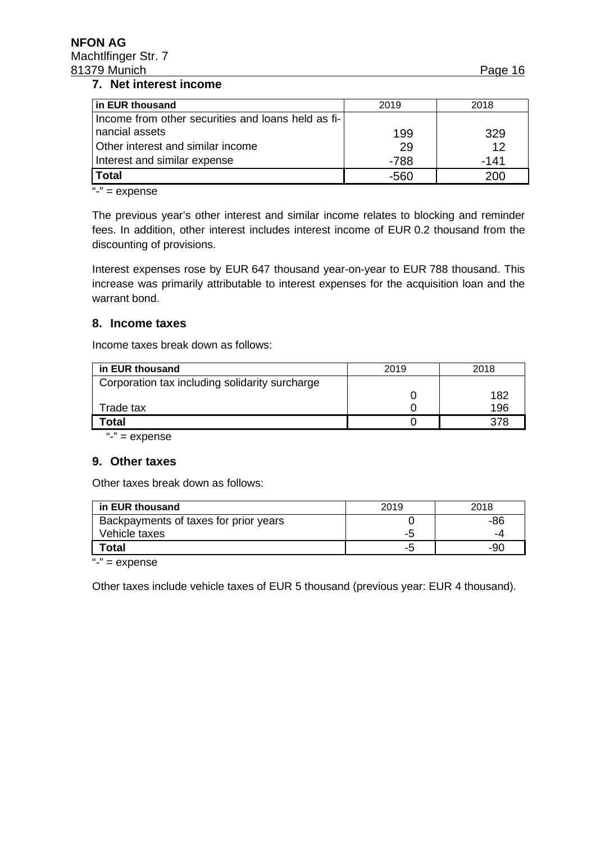#### **7. Net interest income**

| in EUR thousand                                    | 2019   | 2018   |
|----------------------------------------------------|--------|--------|
| Income from other securities and loans held as fi- |        |        |
| nancial assets                                     | 199    | 329    |
| Other interest and similar income                  | 29     | 12     |
| Interest and similar expense                       | $-788$ | $-141$ |
| <b>Total</b>                                       | -560   | 200    |

" $-$ " = expense

The previous year's other interest and similar income relates to blocking and reminder fees. In addition, other interest includes interest income of EUR 0.2 thousand from the discounting of provisions.

Interest expenses rose by EUR 647 thousand year-on-year to EUR 788 thousand. This increase was primarily attributable to interest expenses for the acquisition loan and the warrant bond.

#### **8. Income taxes**

Income taxes break down as follows:

| in EUR thousand                                | 2019 | 2018 |
|------------------------------------------------|------|------|
| Corporation tax including solidarity surcharge |      |      |
|                                                |      | 182  |
| Trade tax                                      |      | 196  |
| Total                                          |      | 378  |

"-" = expense

#### **9. Other taxes**

Other taxes break down as follows:

| in EUR thousand                       | 2019 | 2018 |
|---------------------------------------|------|------|
| Backpayments of taxes for prior years |      | -86  |
| Vehicle taxes                         | -5   | -4   |
| Гоtal                                 | $-5$ | -90  |

" $-$ " = expense

Other taxes include vehicle taxes of EUR 5 thousand (previous year: EUR 4 thousand).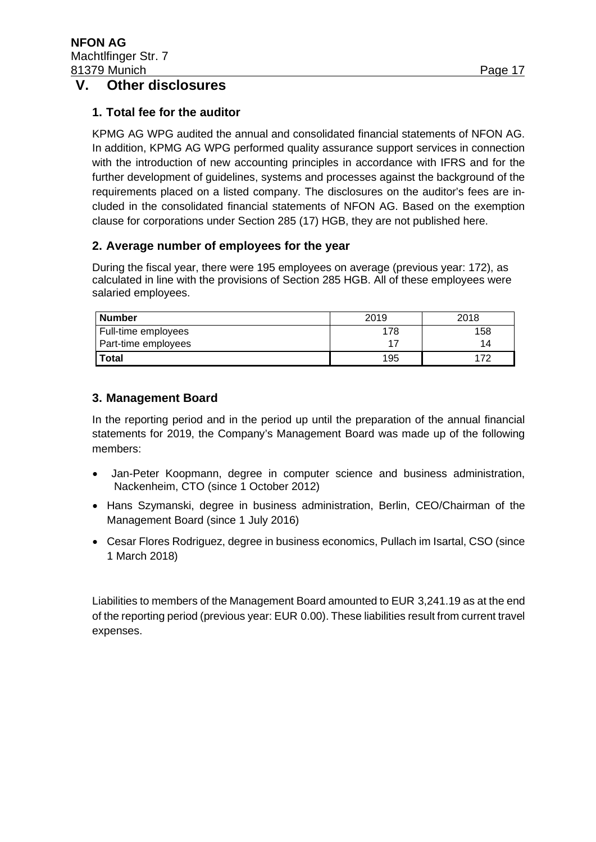### **V. Other disclosures**

#### **1. Total fee for the auditor**

KPMG AG WPG audited the annual and consolidated financial statements of NFON AG. In addition, KPMG AG WPG performed quality assurance support services in connection with the introduction of new accounting principles in accordance with IFRS and for the further development of guidelines, systems and processes against the background of the requirements placed on a listed company. The disclosures on the auditor's fees are included in the consolidated financial statements of NFON AG. Based on the exemption clause for corporations under Section 285 (17) HGB, they are not published here.

#### **2. Average number of employees for the year**

During the fiscal year, there were 195 employees on average (previous year: 172), as calculated in line with the provisions of Section 285 HGB. All of these employees were salaried employees.

| <b>Number</b>       | 2019 | 2018 |  |
|---------------------|------|------|--|
| Full-time employees | 178  | 158  |  |
| Part-time employees |      | 14   |  |
| <b>Total</b>        | 195  |      |  |

#### **3. Management Board**

In the reporting period and in the period up until the preparation of the annual financial statements for 2019, the Company's Management Board was made up of the following members:

- Jan-Peter Koopmann, degree in computer science and business administration, Nackenheim, CTO (since 1 October 2012)
- Hans Szymanski, degree in business administration, Berlin, CEO/Chairman of the Management Board (since 1 July 2016)
- Cesar Flores Rodriguez, degree in business economics, Pullach im Isartal, CSO (since 1 March 2018)

Liabilities to members of the Management Board amounted to EUR 3,241.19 as at the end of the reporting period (previous year: EUR 0.00). These liabilities result from current travel expenses.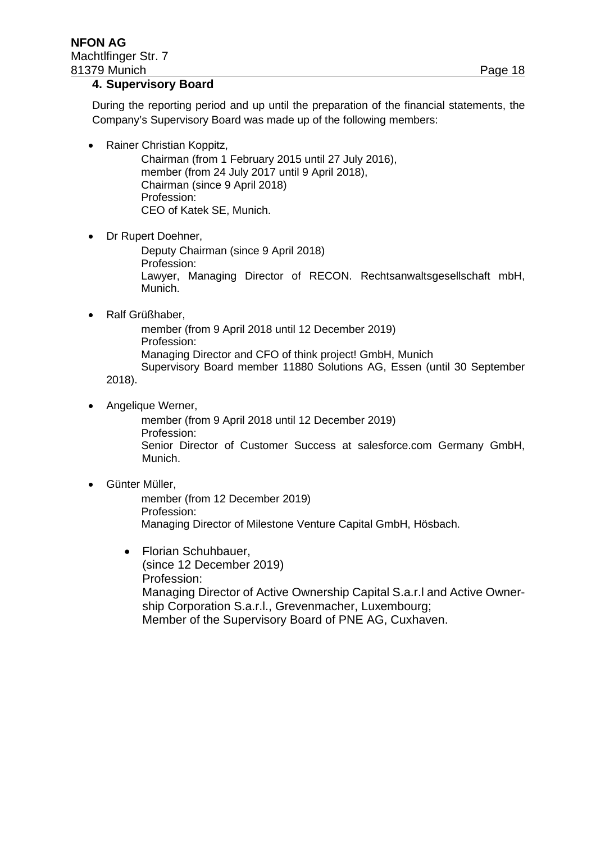#### **4. Supervisory Board**

During the reporting period and up until the preparation of the financial statements, the Company's Supervisory Board was made up of the following members:

• Rainer Christian Koppitz,

Chairman (from 1 February 2015 until 27 July 2016), member (from 24 July 2017 until 9 April 2018), Chairman (since 9 April 2018) Profession: CEO of Katek SE, Munich.

• Dr Rupert Doehner,

Deputy Chairman (since 9 April 2018) Profession: Lawyer, Managing Director of RECON. Rechtsanwaltsgesellschaft mbH, Munich.

• Ralf Grüßhaber,

member (from 9 April 2018 until 12 December 2019) Profession: Managing Director and CFO of think project! GmbH, Munich Supervisory Board member 11880 Solutions AG, Essen (until 30 September

2018).

• Angelique Werner,

member (from 9 April 2018 until 12 December 2019) Profession: Senior Director of Customer Success at salesforce.com Germany GmbH, Munich.

• Günter Müller,

member (from 12 December 2019) Profession: Managing Director of Milestone Venture Capital GmbH, Hösbach.

• Florian Schuhbauer, (since 12 December 2019) Profession: Managing Director of Active Ownership Capital S.a.r.l and Active Ownership Corporation S.a.r.l., Grevenmacher, Luxembourg; Member of the Supervisory Board of PNE AG, Cuxhaven.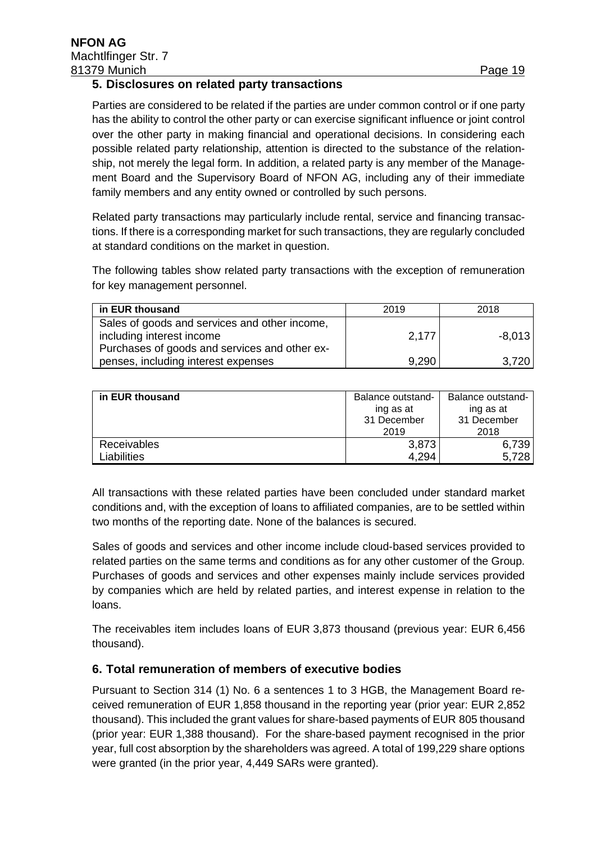#### **5. Disclosures on related party transactions**

Parties are considered to be related if the parties are under common control or if one party has the ability to control the other party or can exercise significant influence or joint control over the other party in making financial and operational decisions. In considering each possible related party relationship, attention is directed to the substance of the relationship, not merely the legal form. In addition, a related party is any member of the Management Board and the Supervisory Board of NFON AG, including any of their immediate family members and any entity owned or controlled by such persons.

Related party transactions may particularly include rental, service and financing transactions. If there is a corresponding market for such transactions, they are regularly concluded at standard conditions on the market in question.

The following tables show related party transactions with the exception of remuneration for key management personnel.

| in EUR thousand                               | 2019  | 2018     |
|-----------------------------------------------|-------|----------|
| Sales of goods and services and other income, |       |          |
| including interest income                     | 2,177 | $-8.013$ |
| Purchases of goods and services and other ex- |       |          |
| penses, including interest expenses           | 9,290 | 3.720    |

| in EUR thousand | Balance outstand-<br>ing as at<br>31 December | Balance outstand-<br>ing as at<br>31 December |
|-----------------|-----------------------------------------------|-----------------------------------------------|
|                 | 2019                                          | 2018                                          |
| Receivables     | 3,873                                         | 6,739                                         |
| Liabilities     | 4.294                                         | 5,728                                         |

All transactions with these related parties have been concluded under standard market conditions and, with the exception of loans to affiliated companies, are to be settled within two months of the reporting date. None of the balances is secured.

Sales of goods and services and other income include cloud-based services provided to related parties on the same terms and conditions as for any other customer of the Group. Purchases of goods and services and other expenses mainly include services provided by companies which are held by related parties, and interest expense in relation to the loans.

The receivables item includes loans of EUR 3,873 thousand (previous year: EUR 6,456 thousand).

#### **6. Total remuneration of members of executive bodies**

Pursuant to Section 314 (1) No. 6 a sentences 1 to 3 HGB, the Management Board received remuneration of EUR 1,858 thousand in the reporting year (prior year: EUR 2,852 thousand). This included the grant values for share-based payments of EUR 805 thousand (prior year: EUR 1,388 thousand). For the share-based payment recognised in the prior year, full cost absorption by the shareholders was agreed. A total of 199,229 share options were granted (in the prior year, 4,449 SARs were granted).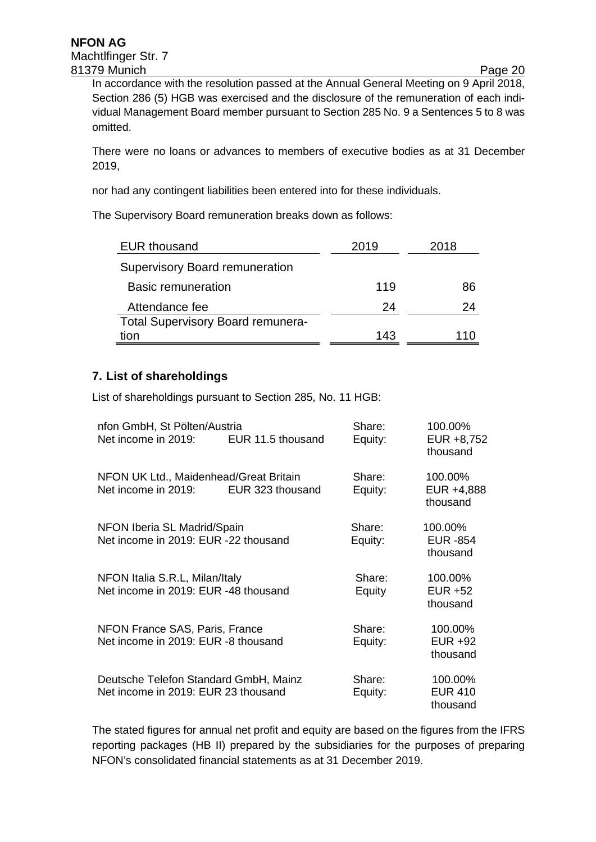In accordance with the resolution passed at the Annual General Meeting on 9 April 2018, Section 286 (5) HGB was exercised and the disclosure of the remuneration of each individual Management Board member pursuant to Section 285 No. 9 a Sentences 5 to 8 was omitted.

There were no loans or advances to members of executive bodies as at 31 December 2019,

nor had any contingent liabilities been entered into for these individuals.

The Supervisory Board remuneration breaks down as follows:

| <b>EUR thousand</b>                      | 2019 | 2018 |
|------------------------------------------|------|------|
| Supervisory Board remuneration           |      |      |
| <b>Basic remuneration</b>                | 119  | 86   |
| Attendance fee                           | 24   | 24   |
| <b>Total Supervisory Board remunera-</b> |      |      |
| tion                                     | 143  | 110  |

#### **7. List of shareholdings**

List of shareholdings pursuant to Section 285, No. 11 HGB:

| nfon GmbH, St Pölten/Austria<br>Net income in 2019:                          | EUR 11.5 thousand | Share:<br>Equity: | 100.00%<br>EUR +8,752<br>thousand      |
|------------------------------------------------------------------------------|-------------------|-------------------|----------------------------------------|
| NFON UK Ltd., Maidenhead/Great Britain<br>Net income in 2019:                | EUR 323 thousand  | Share:<br>Equity: | 100.00%<br>EUR +4,888<br>thousand      |
| NFON Iberia SL Madrid/Spain<br>Net income in 2019: EUR -22 thousand          |                   | Share:<br>Equity: | 100.00%<br><b>EUR -854</b><br>thousand |
| NFON Italia S.R.L, Milan/Italy<br>Net income in 2019: EUR -48 thousand       |                   | Share:<br>Equity  | 100.00%<br><b>EUR +52</b><br>thousand  |
| NFON France SAS, Paris, France<br>Net income in 2019: EUR -8 thousand        |                   | Share:<br>Equity: | 100.00%<br>EUR +92<br>thousand         |
| Deutsche Telefon Standard GmbH, Mainz<br>Net income in 2019: EUR 23 thousand |                   | Share:<br>Equity: | 100.00%<br><b>EUR 410</b><br>thousand  |

The stated figures for annual net profit and equity are based on the figures from the IFRS reporting packages (HB II) prepared by the subsidiaries for the purposes of preparing NFON's consolidated financial statements as at 31 December 2019.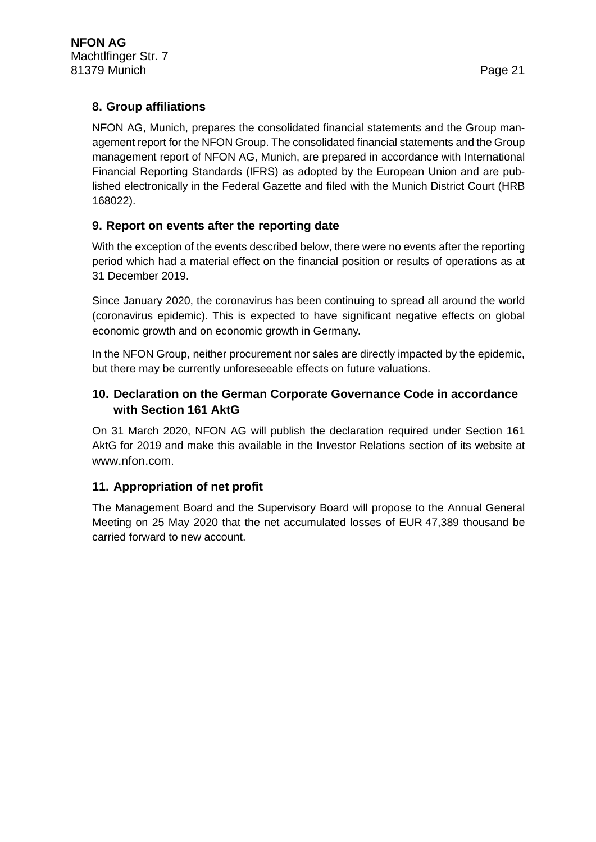### **8. Group affiliations**

NFON AG, Munich, prepares the consolidated financial statements and the Group management report for the NFON Group. The consolidated financial statements and the Group management report of NFON AG, Munich, are prepared in accordance with International Financial Reporting Standards (IFRS) as adopted by the European Union and are published electronically in the Federal Gazette and filed with the Munich District Court (HRB 168022).

### **9. Report on events after the reporting date**

With the exception of the events described below, there were no events after the reporting period which had a material effect on the financial position or results of operations as at 31 December 2019.

Since January 2020, the coronavirus has been continuing to spread all around the world (coronavirus epidemic). This is expected to have significant negative effects on global economic growth and on economic growth in Germany.

In the NFON Group, neither procurement nor sales are directly impacted by the epidemic, but there may be currently unforeseeable effects on future valuations.

### **10. Declaration on the German Corporate Governance Code in accordance with Section 161 AktG**

On 31 March 2020, NFON AG will publish the declaration required under Section 161 AktG for 2019 and make this available in the Investor Relations section of its website at [www.nfon.com.](http://www.nfon.com/)

### **11. Appropriation of net profit**

The Management Board and the Supervisory Board will propose to the Annual General Meeting on 25 May 2020 that the net accumulated losses of EUR 47,389 thousand be carried forward to new account.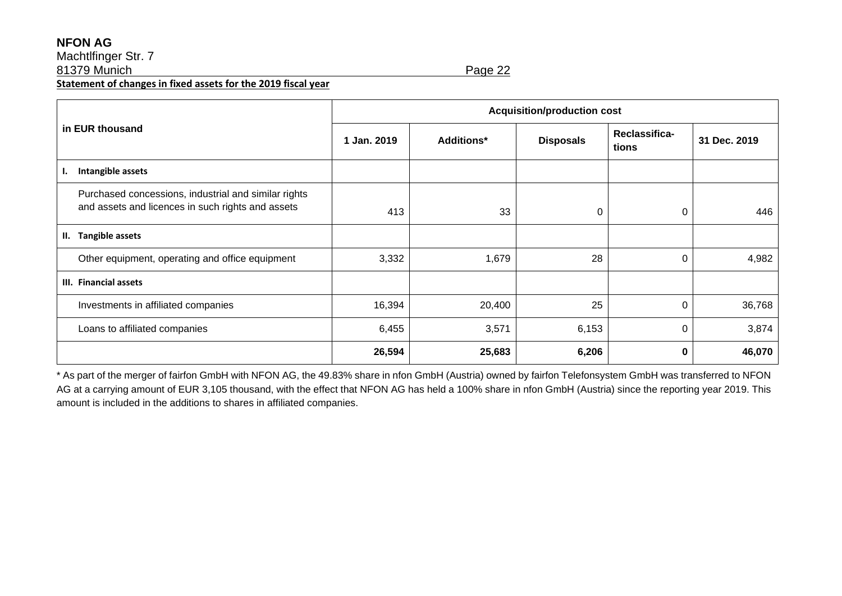#### **NFON AG**

Machtlfinger Str. 7

81379 Munich Page 22

**Statement of changes in fixed assets for the 2019 fiscal year**

|                                                                                                           | <b>Acquisition/production cost</b> |                   |                  |                        |              |
|-----------------------------------------------------------------------------------------------------------|------------------------------------|-------------------|------------------|------------------------|--------------|
| in EUR thousand                                                                                           | 1 Jan. 2019                        | <b>Additions*</b> | <b>Disposals</b> | Reclassifica-<br>tions | 31 Dec. 2019 |
| Intangible assets<br>ı.                                                                                   |                                    |                   |                  |                        |              |
| Purchased concessions, industrial and similar rights<br>and assets and licences in such rights and assets | 413                                | 33                | 0                | 0                      | 446          |
| <b>Tangible assets</b><br>Ш.                                                                              |                                    |                   |                  |                        |              |
| Other equipment, operating and office equipment                                                           | 3,332                              | 1,679             | 28               | 0                      | 4,982        |
| III. Financial assets                                                                                     |                                    |                   |                  |                        |              |
| Investments in affiliated companies                                                                       | 16,394                             | 20,400            | 25               | 0                      | 36,768       |
| Loans to affiliated companies                                                                             | 6,455                              | 3,571             | 6,153            | 0                      | 3,874        |
|                                                                                                           | 26,594                             | 25,683            | 6,206            | 0                      | 46,070       |

\* As part of the merger of fairfon GmbH with NFON AG, the 49.83% share in nfon GmbH (Austria) owned by fairfon Telefonsystem GmbH was transferred to NFON AG at a carrying amount of EUR 3,105 thousand, with the effect that NFON AG has held a 100% share in nfon GmbH (Austria) since the reporting year 2019. This amount is included in the additions to shares in affiliated companies.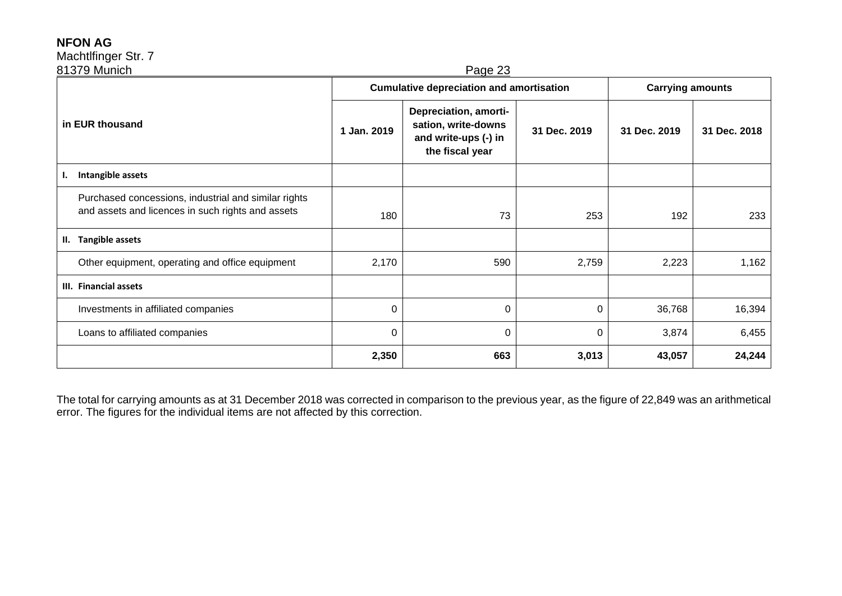### **NFON AG**

## Machtlfinger Str. 7

| 81379 Munich<br>Page 23                                                                                   |                                                 |                                                                                         |              |                         |              |  |  |
|-----------------------------------------------------------------------------------------------------------|-------------------------------------------------|-----------------------------------------------------------------------------------------|--------------|-------------------------|--------------|--|--|
|                                                                                                           | <b>Cumulative depreciation and amortisation</b> |                                                                                         |              | <b>Carrying amounts</b> |              |  |  |
| in EUR thousand                                                                                           | 1 Jan. 2019                                     | Depreciation, amorti-<br>sation, write-downs<br>and write-ups (-) in<br>the fiscal year | 31 Dec. 2019 | 31 Dec. 2019            | 31 Dec. 2018 |  |  |
| Intangible assets<br>ı.                                                                                   |                                                 |                                                                                         |              |                         |              |  |  |
| Purchased concessions, industrial and similar rights<br>and assets and licences in such rights and assets | 180                                             | 73                                                                                      | 253          | 192                     | 233          |  |  |
| <b>Tangible assets</b><br>н.                                                                              |                                                 |                                                                                         |              |                         |              |  |  |
| Other equipment, operating and office equipment                                                           | 2,170                                           | 590                                                                                     | 2,759        | 2,223                   | 1,162        |  |  |
| III. Financial assets                                                                                     |                                                 |                                                                                         |              |                         |              |  |  |
| Investments in affiliated companies                                                                       | $\mathbf 0$                                     | 0                                                                                       | 0            | 36,768                  | 16,394       |  |  |
| Loans to affiliated companies                                                                             | 0                                               | 0                                                                                       | 0            | 3,874                   | 6,455        |  |  |
|                                                                                                           | 2,350                                           | 663                                                                                     | 3,013        | 43,057                  | 24,244       |  |  |

The total for carrying amounts as at 31 December 2018 was corrected in comparison to the previous year, as the figure of 22,849 was an arithmetical error. The figures for the individual items are not affected by this correction.